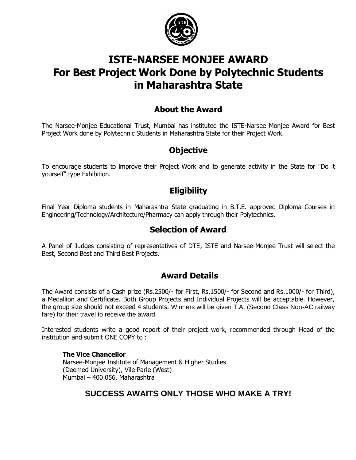

# **ISTE-NARSEE MONJEE AWARD For Best Project Work Done by Polytechnic Students in Maharashtra State**

# **About the Award**

The Narsee-Monjee Educational Trust, Mumbai has instituted the ISTE-Narsee Monjee Award for Best Project Work done by Polytechnic Students in Maharashtra State for their Project Work.

## **Objective**

To encourage students to improve their Project Work and to generate activity in the State for "Do it yourself" type Exhibition.

# **Eligibility**

Final Year Diploma students in Maharashtra State graduating in B.T.E. approved Diploma Courses in Engineering/Technology/Architecture/Pharmacy can apply through their Polytechnics.

# **Selection of Award**

A Panel of Judges consisting of representatives of DTE, ISTE and Narsee-Monjee Trust will select the Best, Second Best and Third Best Projects.

## **Award Details**

The Award consists of a Cash prize (Rs.2500/- for First, Rs.1500/- for Second and Rs.1000/- for Third), a Medallion and Certificate. Both Group Projects and Individual Projects will be acceptable. However, the group size should not exceed 4 students. Winners will be given T.A. (Second Class Non-AC railway fare) for their travel to receive the award.

Interested students write a good report of their project work, recommended through Head of the institution and submit ONE COPY to :

#### **The Vice Chancellor** Narsee-Monjee Institute of Management & Higher Studies (Deemed University), Vile Parle (West) Mumbai – 400 056, Maharashtra

## **SUCCESS AWAITS ONLY THOSE WHO MAKE A TRY!**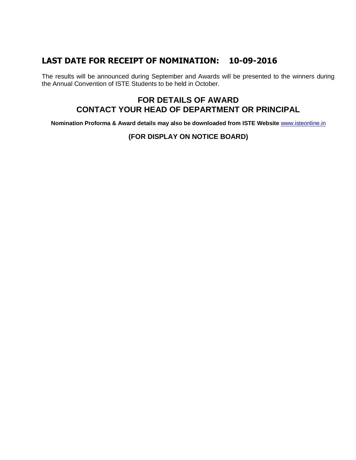### **LAST DATE FOR RECEIPT OF NOMINATION: 10-09-2016**

The results will be announced during September and Awards will be presented to the winners during the Annual Convention of ISTE Students to be held in October.

### **FOR DETAILS OF AWARD CONTACT YOUR HEAD OF DEPARTMENT OR PRINCIPAL**

**Nomination Proforma & Award details may also be downloaded from ISTE Website** [www.isteonline.in](http://www.isteonline.in/)

#### **(FOR DISPLAY ON NOTICE BOARD)**